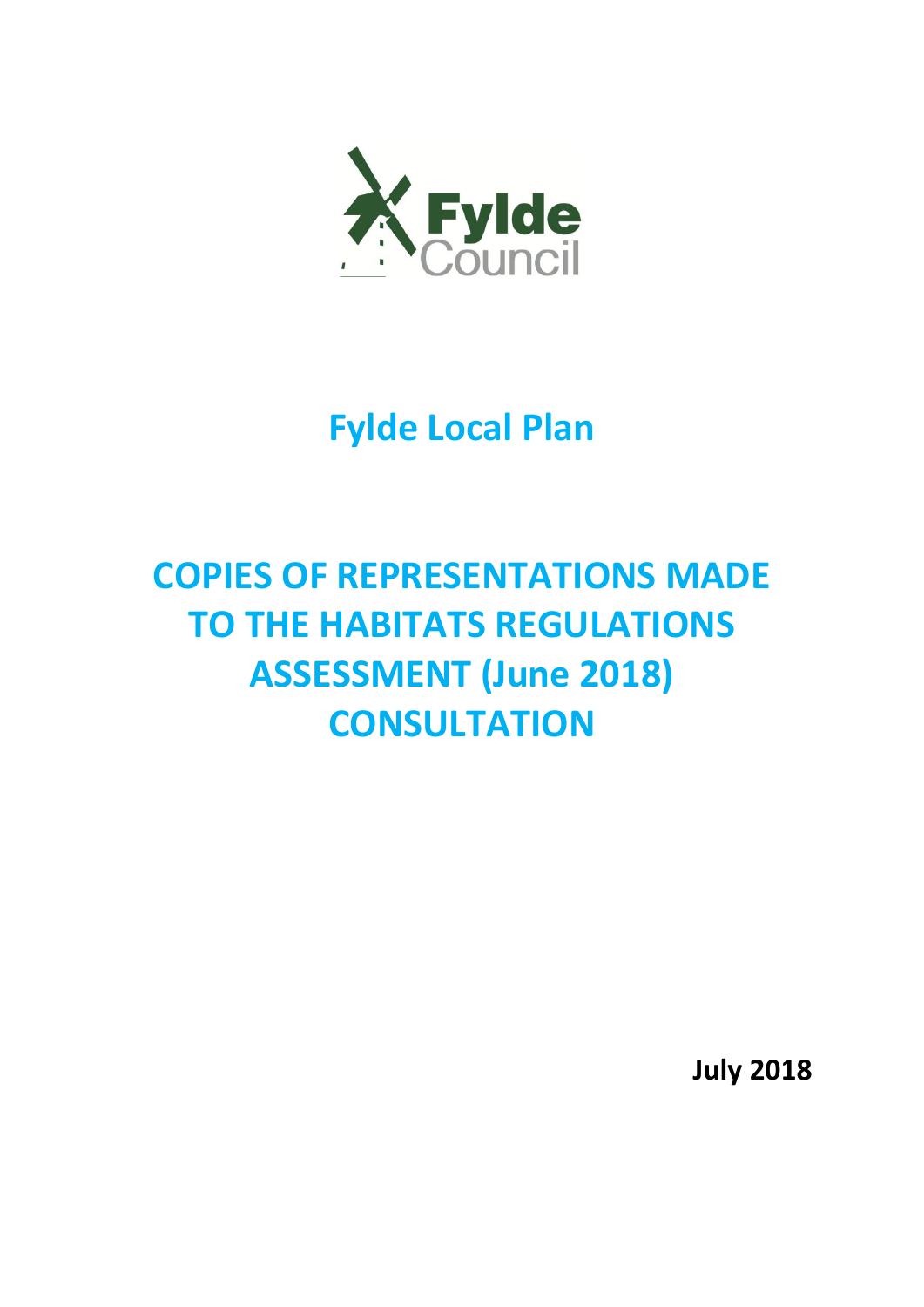

# **Fylde Local Plan**

# **COPIES OF REPRESENTATIONS MADE TO THE HABITATS REGULATIONS ASSESSMENT (June 2018) CONSULTATION**

**July 2018**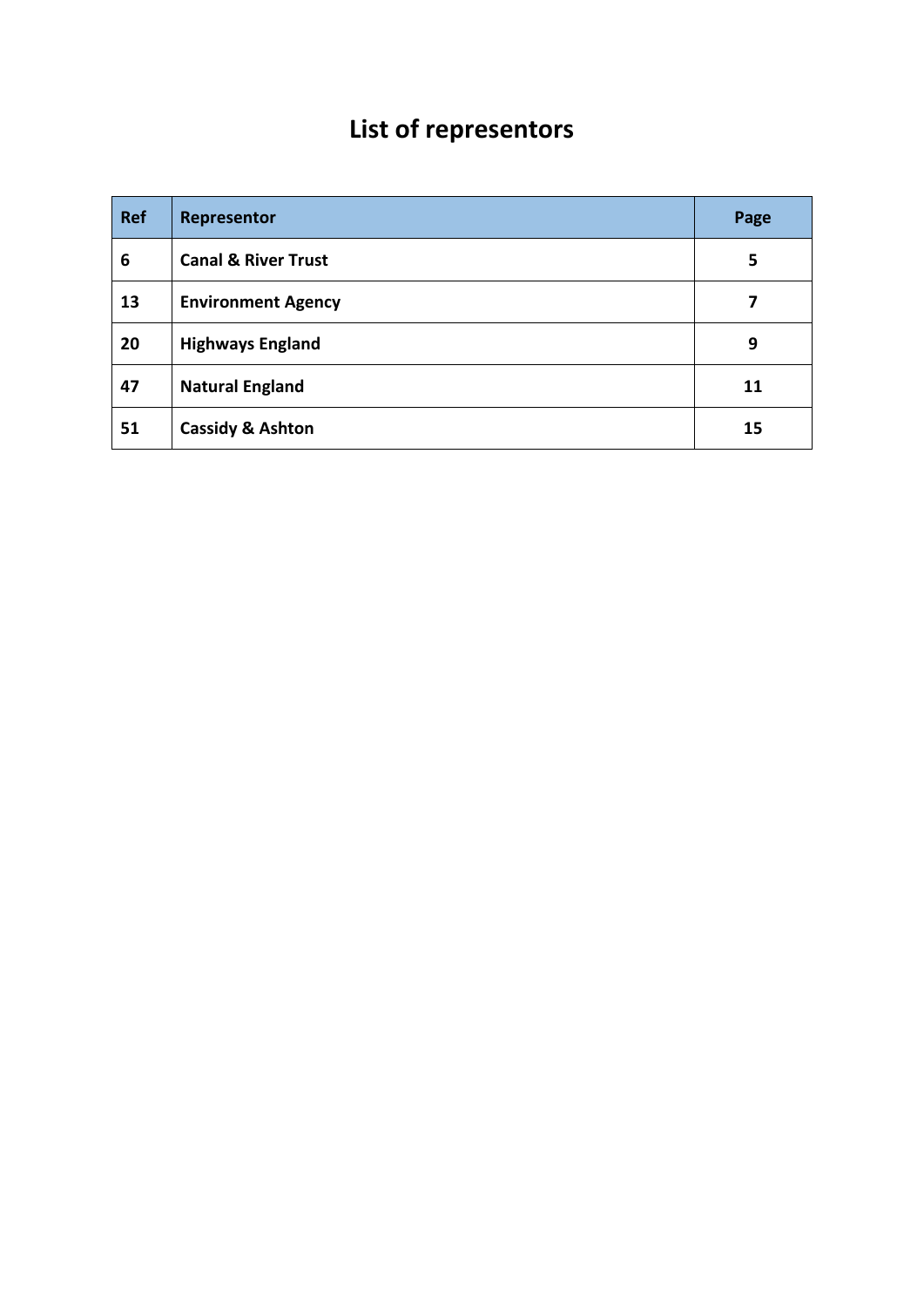# **List of representors**

| <b>Ref</b> | Representor                    | Page |
|------------|--------------------------------|------|
| 6          | <b>Canal &amp; River Trust</b> | 5    |
| 13         | <b>Environment Agency</b>      | 7    |
| 20         | <b>Highways England</b>        | 9    |
| 47         | <b>Natural England</b>         | 11   |
| 51         | <b>Cassidy &amp; Ashton</b>    | 15   |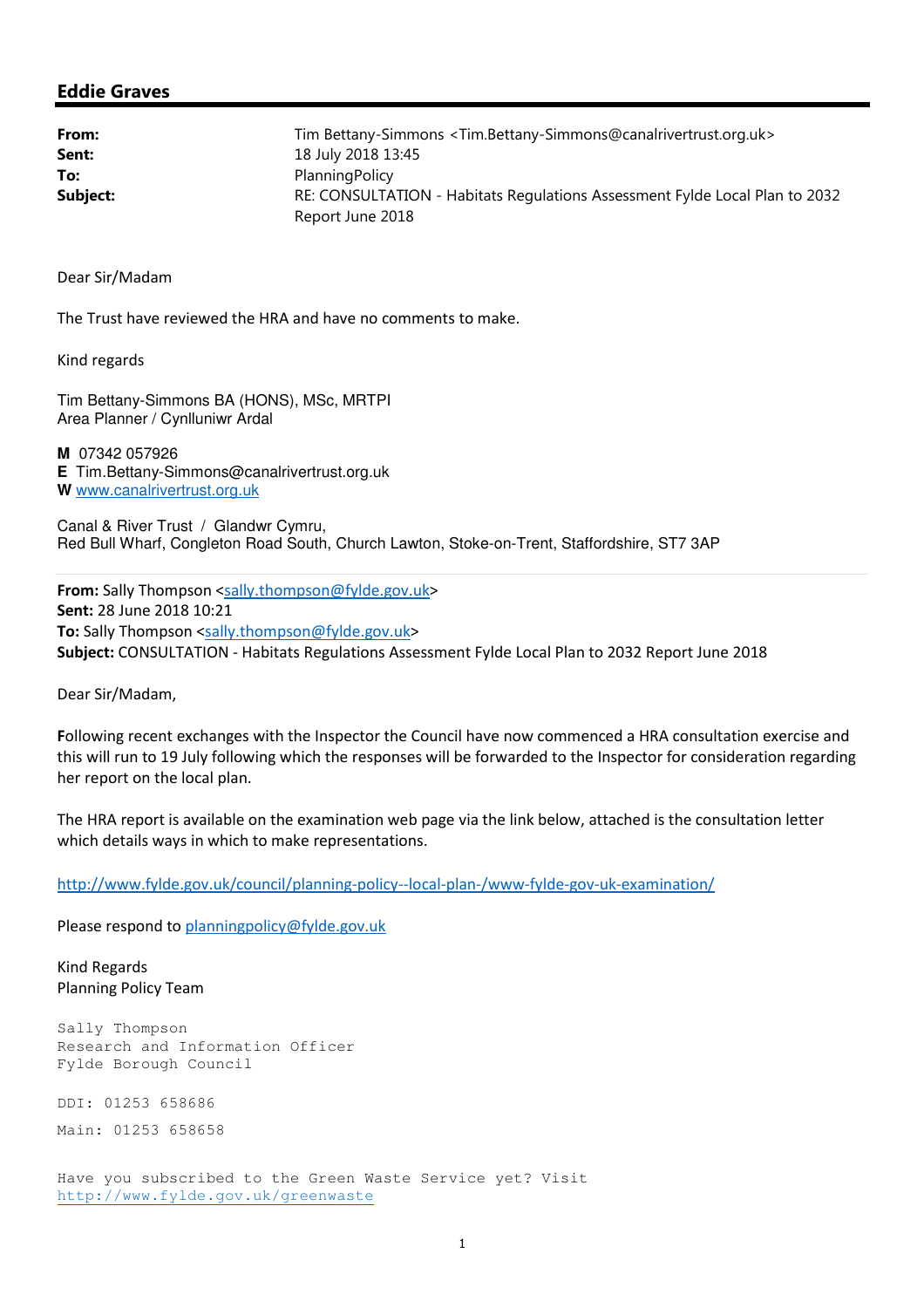#### Eddie Graves

| From:    | Tim Bettany-Simmons < Tim.Bettany-Simmons@canalrivertrust.org.uk>           |
|----------|-----------------------------------------------------------------------------|
| Sent:    | 18 July 2018 13:45                                                          |
| To:      | Planning Policy                                                             |
| Subject: | RE: CONSULTATION - Habitats Regulations Assessment Fylde Local Plan to 2032 |
|          | Report June 2018                                                            |

Dear Sir/Madam

The Trust have reviewed the HRA and have no comments to make.

Kind regards

Tim Bettany-Simmons BA (HONS), MSc, MRTPI Area Planner / Cynlluniwr Ardal

**M** 07342 057926 **E** Tim.Bettany-Simmons@canalrivertrust.org.uk **W** www.canalrivertrust.org.uk

Canal & River Trust / Glandwr Cymru, Red Bull Wharf, Congleton Road South, Church Lawton, Stoke-on-Trent, Staffordshire, ST7 3AP

From: Sally Thompson <sally.thompson@fylde.gov.uk> Sent: 28 June 2018 10:21 To: Sally Thompson <sally.thompson@fylde.gov.uk> Subject: CONSULTATION - Habitats Regulations Assessment Fylde Local Plan to 2032 Report June 2018

Dear Sir/Madam,

Following recent exchanges with the Inspector the Council have now commenced a HRA consultation exercise and this will run to 19 July following which the responses will be forwarded to the Inspector for consideration regarding her report on the local plan.

The HRA report is available on the examination web page via the link below, attached is the consultation letter which details ways in which to make representations.

http://www.fylde.gov.uk/council/planning-policy--local-plan-/www-fylde-gov-uk-examination/

Please respond to planningpolicy@fylde.gov.uk

Kind Regards Planning Policy Team

Sally Thompson Research and Information Officer Fylde Borough Council

DDI: 01253 658686

Main: 01253 658658

Have you subscribed to the Green Waste Service yet? Visit http://www.fylde.gov.uk/greenwaste Ī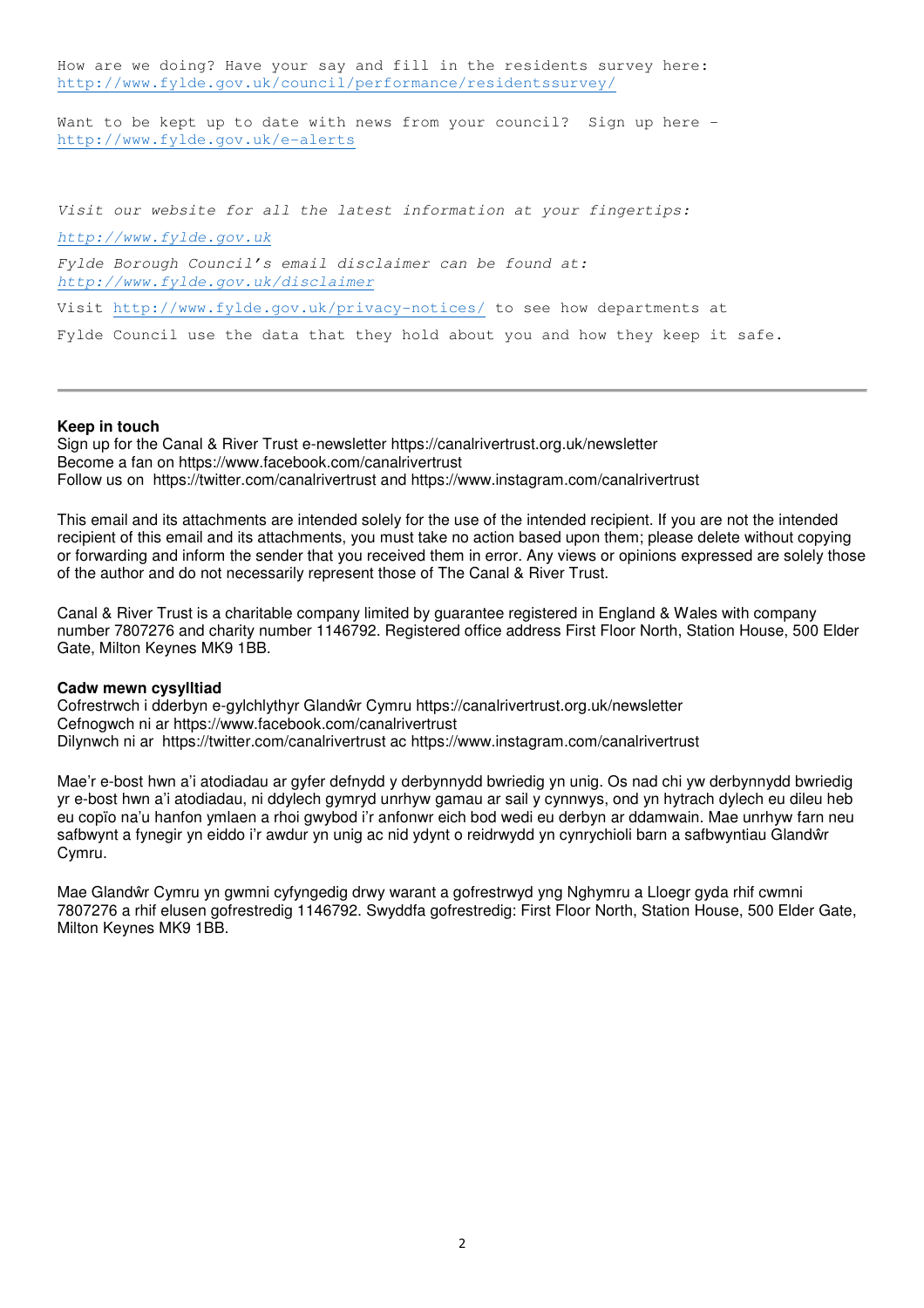How are we doing? Have your say and fill in the residents survey here: http://www.fylde.gov.uk/council/performance/residentssurvey/ Ī

Want to be kept up to date with news from your council? Sign up here http://www.fylde.gov.uk/e-alerts Ī

Visit our website for all the latest information at your fingertips: http://www.fylde.gov.uk Fylde Borough Council's email disclaimer can be found at: http://www.fylde.gov.uk/disclaimer Visit http://www.fylde.gov.uk/privacy-notices/ to see how departments at Fylde Council use the data that they hold about you and how they keep it safe.

#### **Keep in touch**

Sign up for the Canal & River Trust e-newsletter https://canalrivertrust.org.uk/newsletter Become a fan on https://www.facebook.com/canalrivertrust Follow us on https://twitter.com/canalrivertrust and https://www.instagram.com/canalrivertrust

This email and its attachments are intended solely for the use of the intended recipient. If you are not the intended recipient of this email and its attachments, you must take no action based upon them; please delete without copying or forwarding and inform the sender that you received them in error. Any views or opinions expressed are solely those of the author and do not necessarily represent those of The Canal & River Trust.

Canal & River Trust is a charitable company limited by guarantee registered in England & Wales with company number 7807276 and charity number 1146792. Registered office address First Floor North, Station House, 500 Elder Gate, Milton Keynes MK9 1BB.

#### **Cadw mewn cysylltiad**

Cofrestrwch i dderbyn e-gylchlythyr Glandŵr Cymru https://canalrivertrust.org.uk/newsletter Cefnogwch ni ar https://www.facebook.com/canalrivertrust Dilynwch ni ar https://twitter.com/canalrivertrust ac https://www.instagram.com/canalrivertrust

Mae'r e-bost hwn a'i atodiadau ar gyfer defnydd y derbynnydd bwriedig yn unig. Os nad chi yw derbynnydd bwriedig yr e-bost hwn a'i atodiadau, ni ddylech gymryd unrhyw gamau ar sail y cynnwys, ond yn hytrach dylech eu dileu heb eu copïo na'u hanfon ymlaen a rhoi gwybod i'r anfonwr eich bod wedi eu derbyn ar ddamwain. Mae unrhyw farn neu safbwynt a fynegir yn eiddo i'r awdur yn unig ac nid ydynt o reidrwydd yn cynrychioli barn a safbwyntiau Glandŵr Cymru.

Mae Glandŵr Cymru yn gwmni cyfyngedig drwy warant a gofrestrwyd yng Nghymru a Lloegr gyda rhif cwmni 7807276 a rhif elusen gofrestredig 1146792. Swyddfa gofrestredig: First Floor North, Station House, 500 Elder Gate, Milton Keynes MK9 1BB.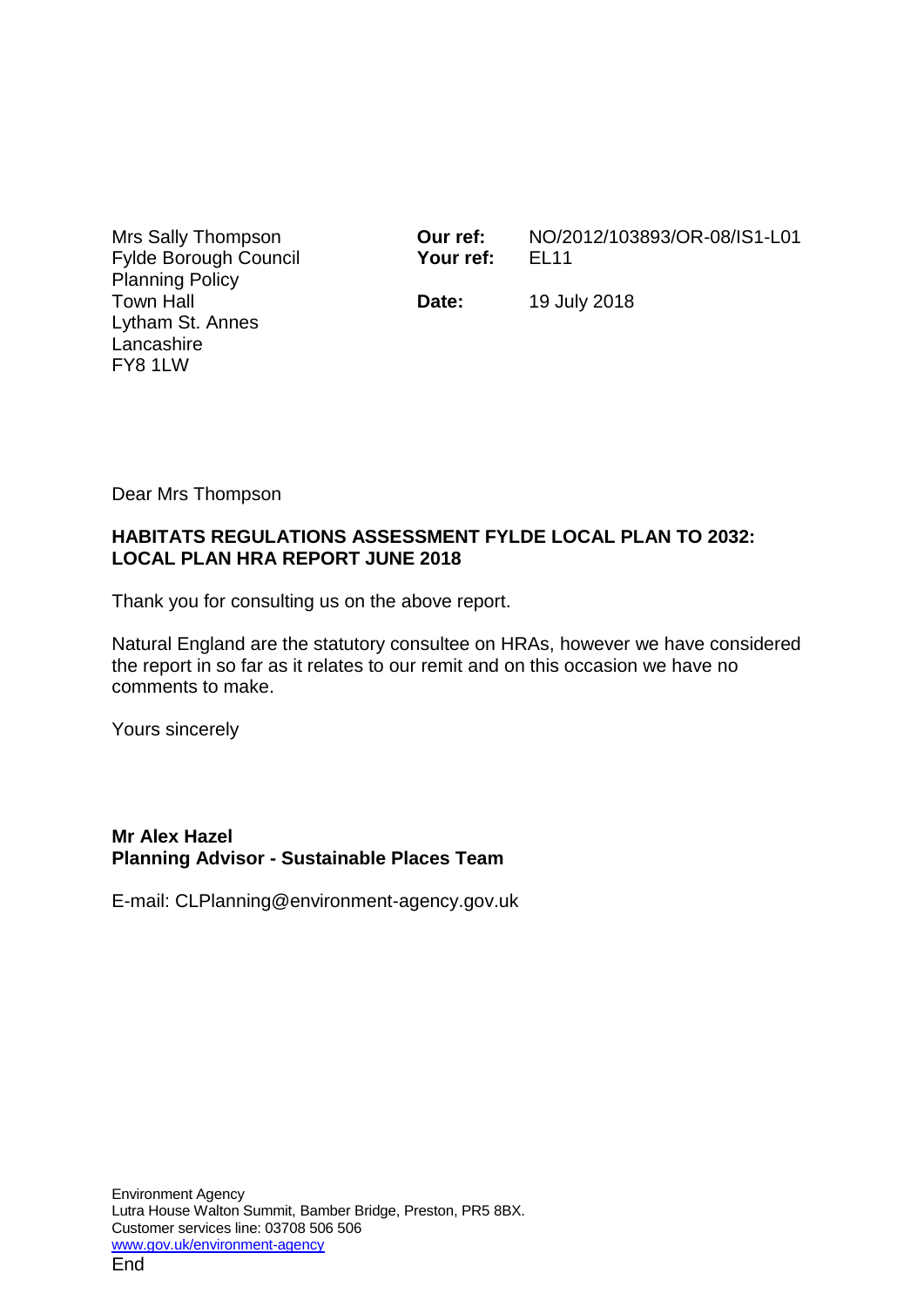Mrs Sally Thompson Fylde Borough Council Planning Policy Town Hall Lytham St. Annes Lancashire FY8 1LW

**Our ref:** NO/2012/103893/OR-08/IS1-L01 **Your ref:** EL11

**Date:** 19 July 2018

Dear Mrs Thompson

## **HABITATS REGULATIONS ASSESSMENT FYLDE LOCAL PLAN TO 2032: LOCAL PLAN HRA REPORT JUNE 2018**

Thank you for consulting us on the above report.

Natural England are the statutory consultee on HRAs, however we have considered the report in so far as it relates to our remit and on this occasion we have no comments to make.

Yours sincerely

### **Mr Alex Hazel Planning Advisor - Sustainable Places Team**

E-mail: CLPlanning@environment-agency.gov.uk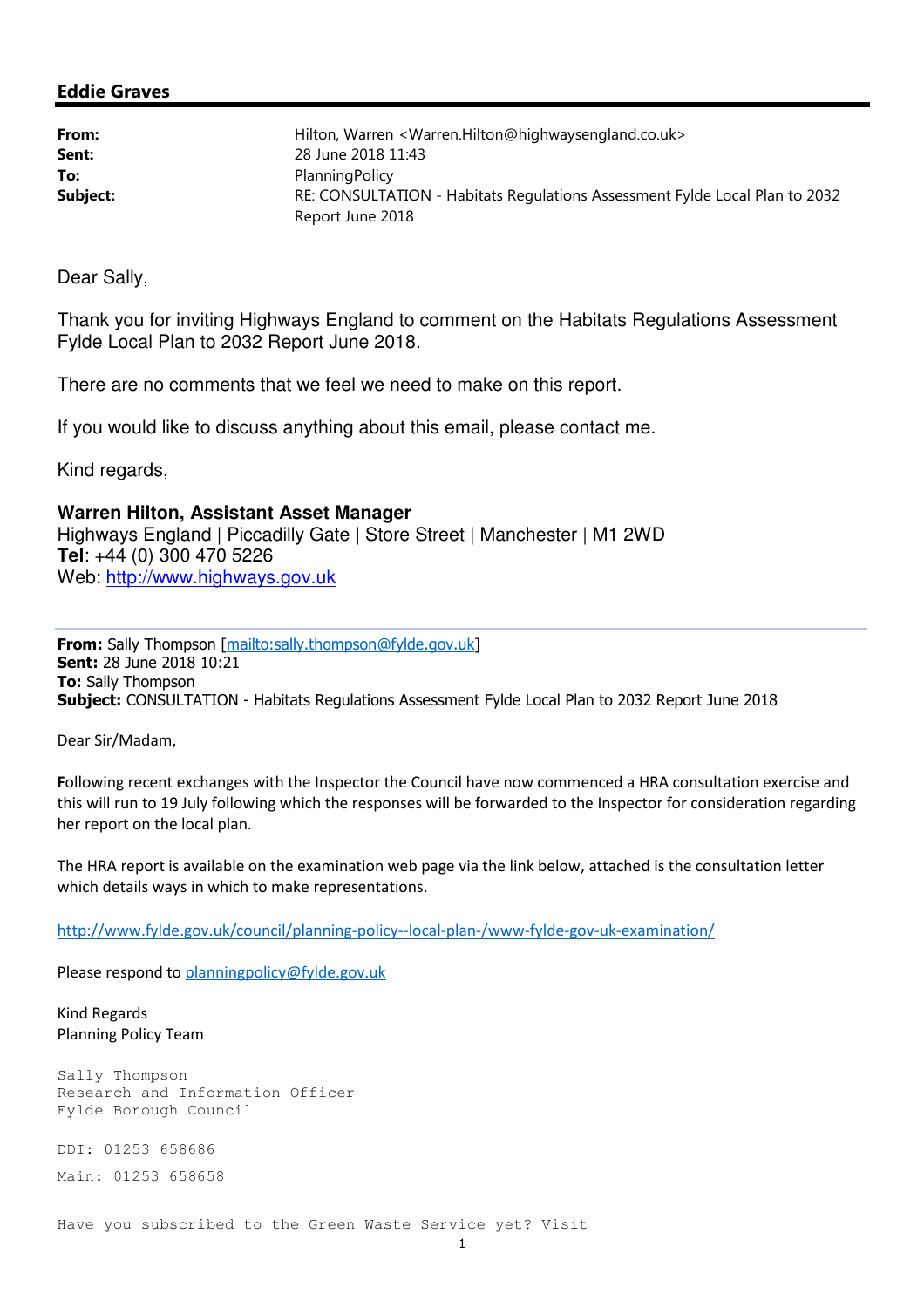#### Eddie Graves

| From:    | Hilton, Warren < Warren. Hilton@highwaysengland.co.uk>                      |
|----------|-----------------------------------------------------------------------------|
| Sent:    | 28 June 2018 11:43                                                          |
| To:      | PlanningPolicy                                                              |
| Subject: | RE: CONSULTATION - Habitats Regulations Assessment Fylde Local Plan to 2032 |
|          | Report June 2018                                                            |

Dear Sally,

Thank you for inviting Highways England to comment on the Habitats Regulations Assessment Fylde Local Plan to 2032 Report June 2018.

There are no comments that we feel we need to make on this report.

If you would like to discuss anything about this email, please contact me.

Kind regards,

**Warren Hilton, Assistant Asset Manager**  Highways England | Piccadilly Gate | Store Street | Manchester | M1 2WD **Tel**: +44 (0) 300 470 5226 Web: http://www.highways.gov.uk

From: Sally Thompson [mailto:sally.thompson@fylde.gov.uk] Sent: 28 June 2018 10:21 **To: Sally Thompson** Subject: CONSULTATION - Habitats Regulations Assessment Fylde Local Plan to 2032 Report June 2018

Dear Sir/Madam,

Following recent exchanges with the Inspector the Council have now commenced a HRA consultation exercise and this will run to 19 July following which the responses will be forwarded to the Inspector for consideration regarding her report on the local plan.

The HRA report is available on the examination web page via the link below, attached is the consultation letter which details ways in which to make representations.

http://www.fylde.gov.uk/council/planning-policy--local-plan-/www-fylde-gov-uk-examination/

Please respond to planningpolicy@fylde.gov.uk

Kind Regards Planning Policy Team

Sally Thompson Research and Information Officer Fylde Borough Council

DDI: 01253 658686 Main: 01253 658658

Have you subscribed to the Green Waste Service yet? Visit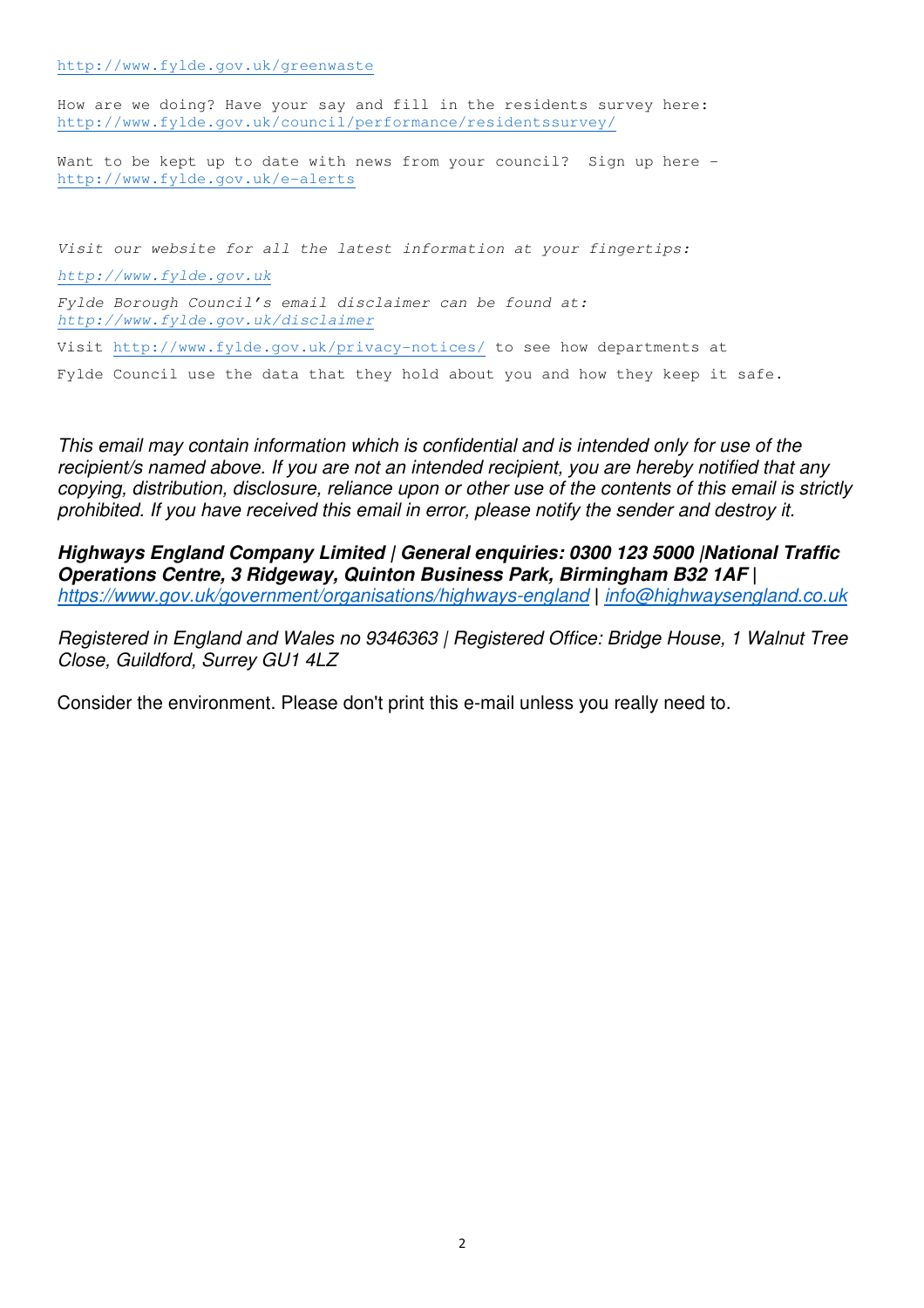http://www.fylde.gov.uk/greenwaste Ī

How are we doing? Have your say and fill in the residents survey here: http://www.fylde.gov.uk/council/performance/residentssurvey/ Ī

Want to be kept up to date with news from your council? Sign up here http://www.fylde.gov.uk/e-alerts Ī

Visit our website for all the latest information at your fingertips: http://www.fylde.gov.uk Fylde Borough Council's email disclaimer can be found at: http://www.fylde.gov.uk/disclaimer Visit http://www.fylde.gov.uk/privacy-notices/ to see how departments at Fylde Council use the data that they hold about you and how they keep it safe.

This email may contain information which is confidential and is intended only for use of the recipient/s named above. If you are not an intended recipient, you are hereby notified that any copying, distribution, disclosure, reliance upon or other use of the contents of this email is strictly prohibited. If you have received this email in error, please notify the sender and destroy it.

**Highways England Company Limited | General enquiries: 0300 123 5000 |National Traffic Operations Centre, 3 Ridgeway, Quinton Business Park, Birmingham B32 1AF |** https://www.gov.uk/government/organisations/highways-england **|** info@highwaysengland.co.uk

Registered in England and Wales no 9346363 | Registered Office: Bridge House, 1 Walnut Tree Close, Guildford, Surrey GU1 4LZ

Consider the environment. Please don't print this e-mail unless you really need to.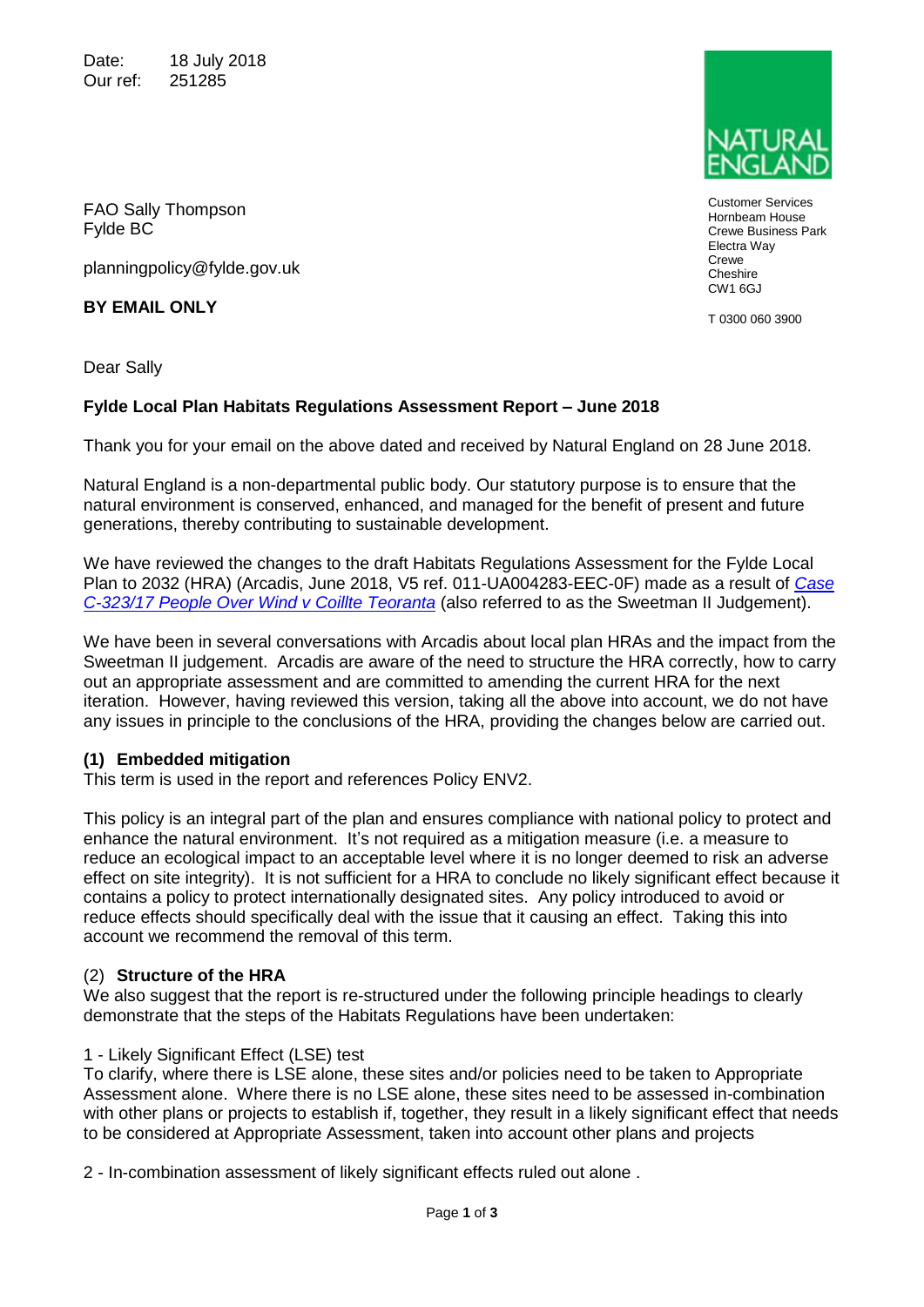Date: 18 July 2018 Our ref: 251285

FAO Sally Thompson Fylde BC

planningpolicy@fylde.gov.uk

**BY EMAIL ONLY**

Dear Sally

## **Fylde Local Plan Habitats Regulations Assessment Report – June 2018**

Thank you for your email on the above dated and received by Natural England on 28 June 2018.

Natural England is a non-departmental public body. Our statutory purpose is to ensure that the natural environment is conserved, enhanced, and managed for the benefit of present and future generations, thereby contributing to sustainable development.

We have reviewed the changes to the draft Habitats Regulations Assessment for the Fylde Local Plan to 2032 (HRA) (Arcadis, June 2018, V5 ref. 011-UA004283-EEC-0F) made as a result of *[Case](http://curia.europa.eu/juris/document/document.jsf?text=&docid=200970&pageIndex=0&doclang=en&mode=req&dir=&occ=first&part=1)  [C-323/17 People Over Wind v Coillte Teoranta](http://curia.europa.eu/juris/document/document.jsf?text=&docid=200970&pageIndex=0&doclang=en&mode=req&dir=&occ=first&part=1)* (also referred to as the Sweetman II Judgement).

We have been in several conversations with Arcadis about local plan HRAs and the impact from the Sweetman II judgement. Arcadis are aware of the need to structure the HRA correctly, how to carry out an appropriate assessment and are committed to amending the current HRA for the next iteration. However, having reviewed this version, taking all the above into account, we do not have any issues in principle to the conclusions of the HRA, providing the changes below are carried out.

### **(1) Embedded mitigation**

This term is used in the report and references Policy ENV2.

This policy is an integral part of the plan and ensures compliance with national policy to protect and enhance the natural environment. It's not required as a mitigation measure (i.e. a measure to reduce an ecological impact to an acceptable level where it is no longer deemed to risk an adverse effect on site integrity). It is not sufficient for a HRA to conclude no likely significant effect because it contains a policy to protect internationally designated sites. Any policy introduced to avoid or reduce effects should specifically deal with the issue that it causing an effect. Taking this into account we recommend the removal of this term.

### (2) **Structure of the HRA**

We also suggest that the report is re-structured under the following principle headings to clearly demonstrate that the steps of the Habitats Regulations have been undertaken:

#### 1 - Likely Significant Effect (LSE) test

To clarify, where there is LSE alone, these sites and/or policies need to be taken to Appropriate Assessment alone. Where there is no LSE alone, these sites need to be assessed in-combination with other plans or projects to establish if, together, they result in a likely significant effect that needs to be considered at Appropriate Assessment, taken into account other plans and projects

2 - In-combination assessment of likely significant effects ruled out alone .



T 0300 060 3900



Customer Services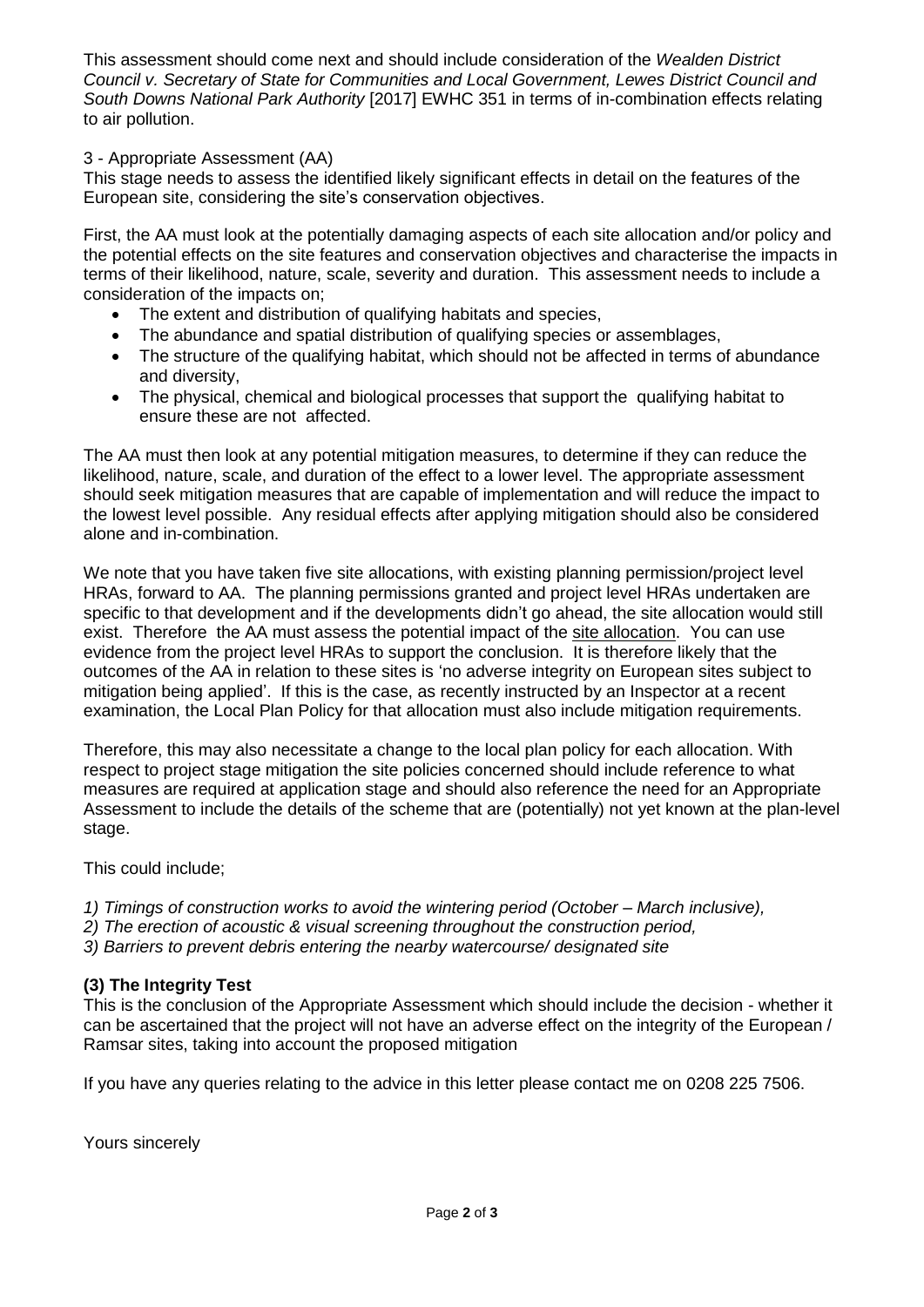This assessment should come next and should include consideration of the *Wealden District Council v. Secretary of State for Communities and Local Government, Lewes District Council and South Downs National Park Authority* [2017] EWHC 351 in terms of in-combination effects relating to air pollution.

#### 3 - Appropriate Assessment (AA)

This stage needs to assess the identified likely significant effects in detail on the features of the European site, considering the site's conservation objectives.

First, the AA must look at the potentially damaging aspects of each site allocation and/or policy and the potential effects on the site features and conservation objectives and characterise the impacts in terms of their likelihood, nature, scale, severity and duration. This assessment needs to include a consideration of the impacts on;

- The extent and distribution of qualifying habitats and species,
- The abundance and spatial distribution of qualifying species or assemblages,
- The structure of the qualifying habitat, which should not be affected in terms of abundance and diversity,
- The physical, chemical and biological processes that support the qualifying habitat to ensure these are not affected.

The AA must then look at any potential mitigation measures, to determine if they can reduce the likelihood, nature, scale, and duration of the effect to a lower level. The appropriate assessment should seek mitigation measures that are capable of implementation and will reduce the impact to the lowest level possible. Any residual effects after applying mitigation should also be considered alone and in-combination.

We note that you have taken five site allocations, with existing planning permission/project level HRAs, forward to AA. The planning permissions granted and project level HRAs undertaken are specific to that development and if the developments didn't go ahead, the site allocation would still exist. Therefore the AA must assess the potential impact of the site allocation. You can use evidence from the project level HRAs to support the conclusion. It is therefore likely that the outcomes of the AA in relation to these sites is 'no adverse integrity on European sites subject to mitigation being applied'. If this is the case, as recently instructed by an Inspector at a recent examination, the Local Plan Policy for that allocation must also include mitigation requirements.

Therefore, this may also necessitate a change to the local plan policy for each allocation. With respect to project stage mitigation the site policies concerned should include reference to what measures are required at application stage and should also reference the need for an Appropriate Assessment to include the details of the scheme that are (potentially) not yet known at the plan-level stage.

This could include;

- *1) Timings of construction works to avoid the wintering period (October – March inclusive),*
- *2) The erection of acoustic & visual screening throughout the construction period,*
- *3) Barriers to prevent debris entering the nearby watercourse/ designated site*

### **(3) The Integrity Test**

This is the conclusion of the Appropriate Assessment which should include the decision - whether it can be ascertained that the project will not have an adverse effect on the integrity of the European / Ramsar sites, taking into account the proposed mitigation

If you have any queries relating to the advice in this letter please contact me on 0208 225 7506.

Yours sincerely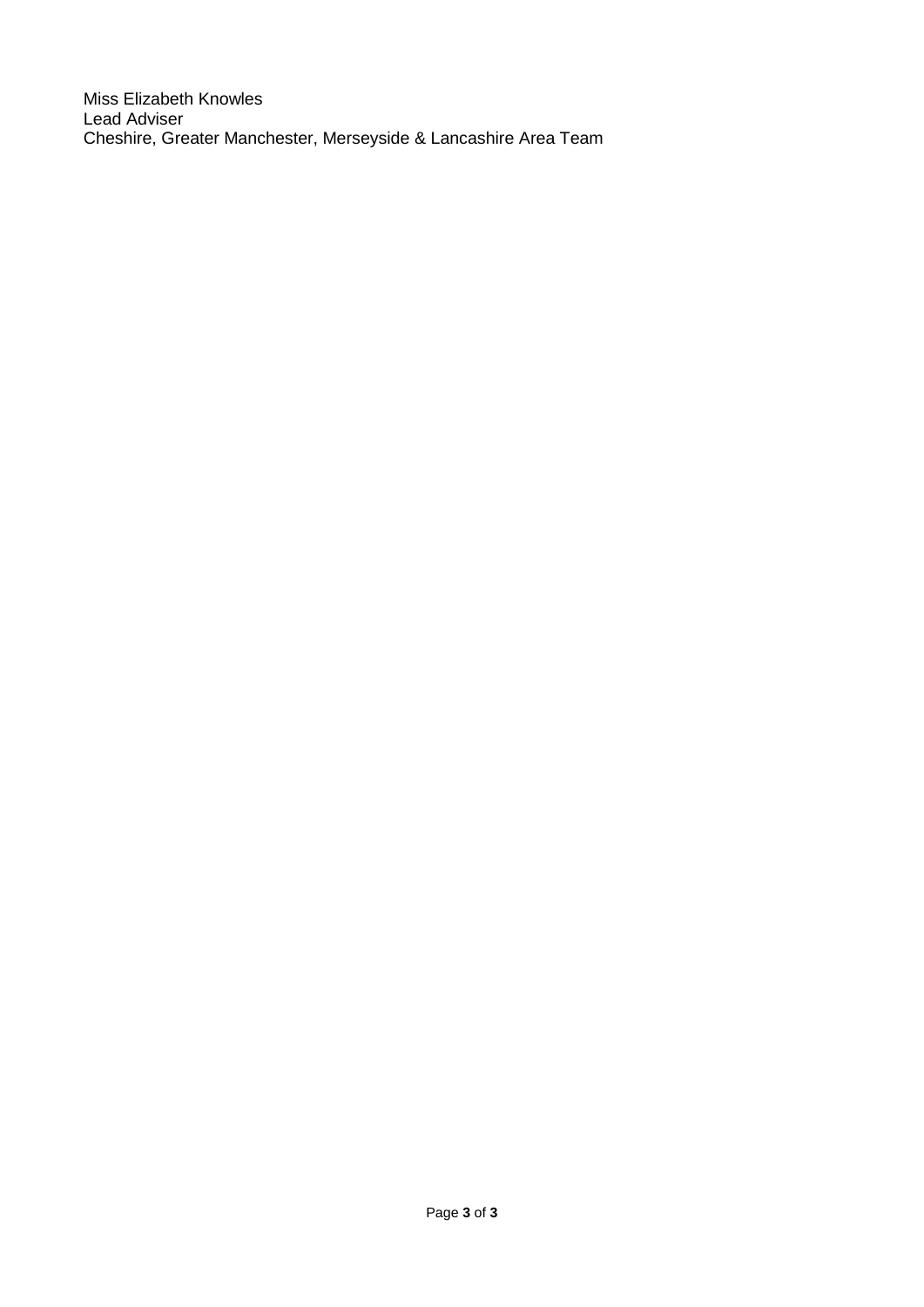Miss Elizabeth Knowles Lead Adviser Cheshire, Greater Manchester, Merseyside & Lancashire Area Team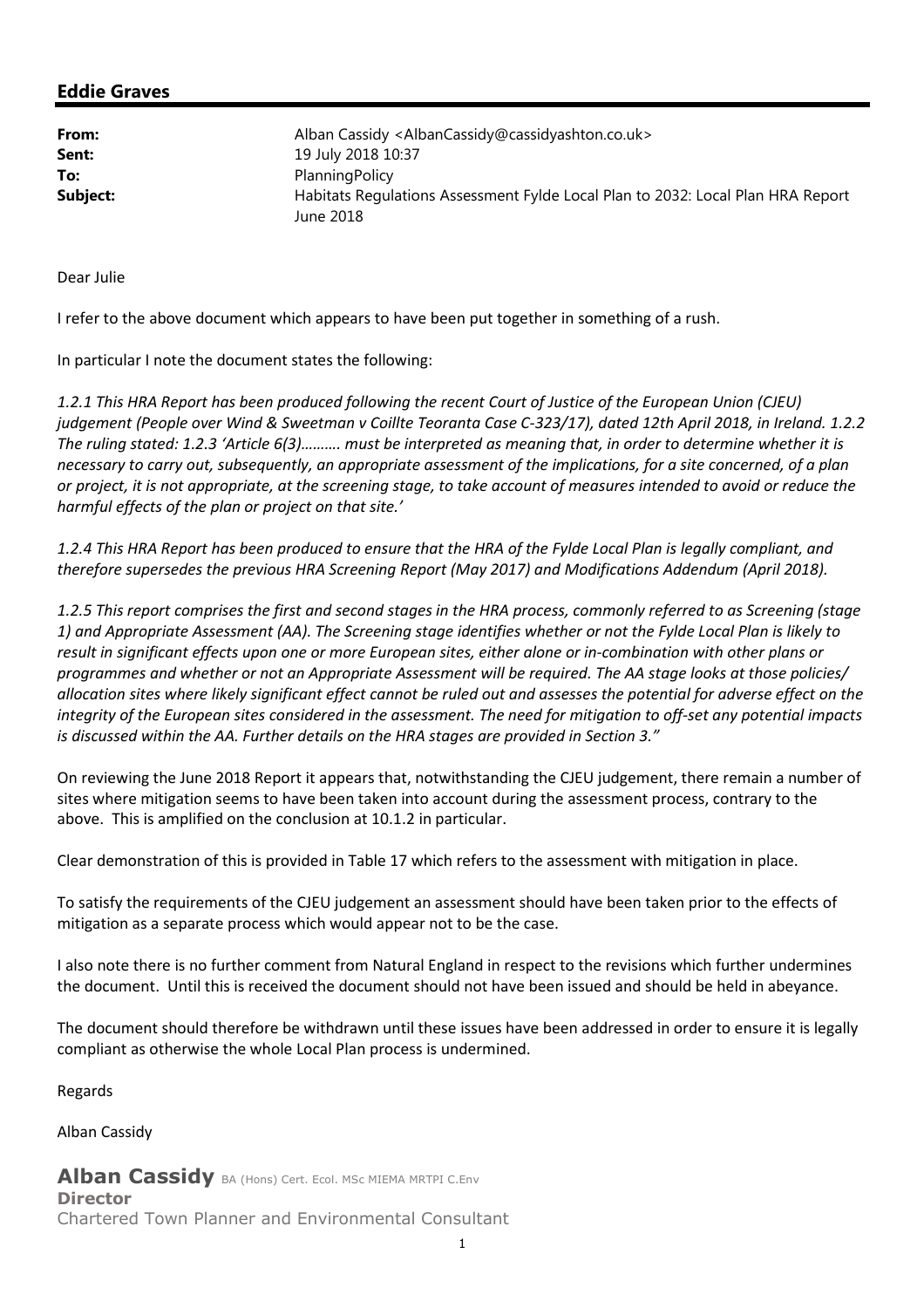### Eddie Graves

| From:    | Alban Cassidy <albancassidy@cassidyashton.co.uk></albancassidy@cassidyashton.co.uk>          |
|----------|----------------------------------------------------------------------------------------------|
| Sent:    | 19 July 2018 10:37                                                                           |
| To:      | Planning Policy                                                                              |
| Subject: | Habitats Regulations Assessment Fylde Local Plan to 2032: Local Plan HRA Report<br>June 2018 |

Dear Julie

I refer to the above document which appears to have been put together in something of a rush.

In particular I note the document states the following:

1.2.1 This HRA Report has been produced following the recent Court of Justice of the European Union (CJEU) judgement (People over Wind & Sweetman v Coillte Teoranta Case C-323/17), dated 12th April 2018, in Ireland. 1.2.2 The ruling stated: 1.2.3 'Article 6(3)………. must be interpreted as meaning that, in order to determine whether it is necessary to carry out, subsequently, an appropriate assessment of the implications, for a site concerned, of a plan or project, it is not appropriate, at the screening stage, to take account of measures intended to avoid or reduce the harmful effects of the plan or project on that site.'

1.2.4 This HRA Report has been produced to ensure that the HRA of the Fylde Local Plan is legally compliant, and therefore supersedes the previous HRA Screening Report (May 2017) and Modifications Addendum (April 2018).

1.2.5 This report comprises the first and second stages in the HRA process, commonly referred to as Screening (stage 1) and Appropriate Assessment (AA). The Screening stage identifies whether or not the Fylde Local Plan is likely to result in significant effects upon one or more European sites, either alone or in-combination with other plans or programmes and whether or not an Appropriate Assessment will be required. The AA stage looks at those policies/ allocation sites where likely significant effect cannot be ruled out and assesses the potential for adverse effect on the integrity of the European sites considered in the assessment. The need for mitigation to off-set any potential impacts is discussed within the AA. Further details on the HRA stages are provided in Section 3."

On reviewing the June 2018 Report it appears that, notwithstanding the CJEU judgement, there remain a number of sites where mitigation seems to have been taken into account during the assessment process, contrary to the above. This is amplified on the conclusion at 10.1.2 in particular.

Clear demonstration of this is provided in Table 17 which refers to the assessment with mitigation in place.

To satisfy the requirements of the CJEU judgement an assessment should have been taken prior to the effects of mitigation as a separate process which would appear not to be the case.

I also note there is no further comment from Natural England in respect to the revisions which further undermines the document. Until this is received the document should not have been issued and should be held in abeyance.

The document should therefore be withdrawn until these issues have been addressed in order to ensure it is legally compliant as otherwise the whole Local Plan process is undermined.

Regards

Alban Cassidy

Alban Cassidy BA (Hons) Cert. Ecol. MSc MIEMA MRTPI C.Env **Director** 

Chartered Town Planner and Environmental Consultant